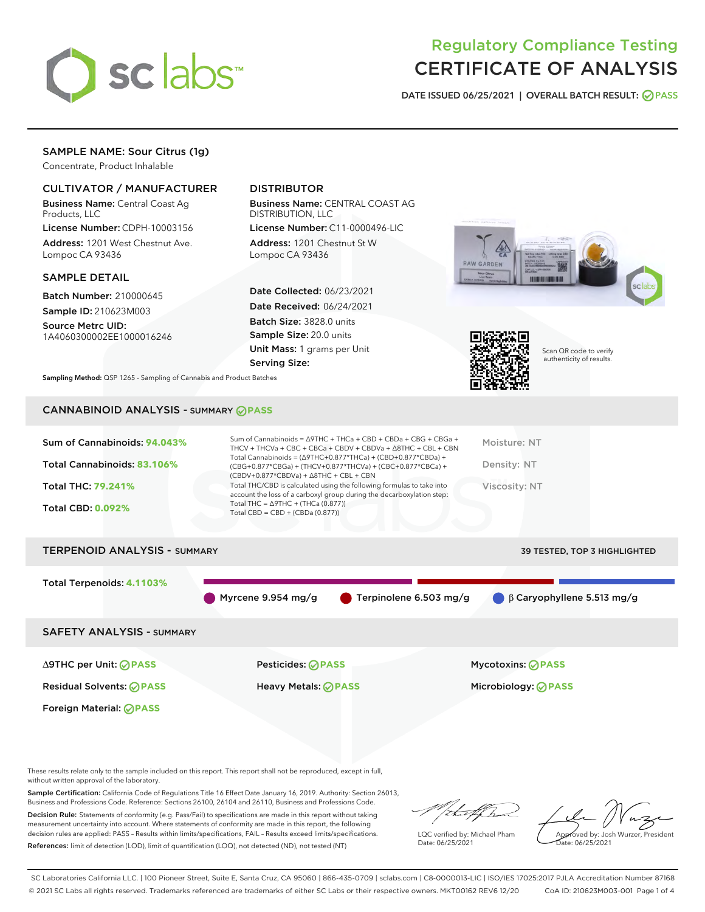

## Regulatory Compliance Testing CERTIFICATE OF ANALYSIS

DATE ISSUED 06/25/2021 | OVERALL BATCH RESULT: @ PASS

## SAMPLE NAME: Sour Citrus (1g)

Concentrate, Product Inhalable

## CULTIVATOR / MANUFACTURER

Business Name: Central Coast Ag Products, LLC

License Number: CDPH-10003156 Address: 1201 West Chestnut Ave. Lompoc CA 93436

#### SAMPLE DETAIL

Batch Number: 210000645 Sample ID: 210623M003

Source Metrc UID: 1A4060300002EE1000016246

## DISTRIBUTOR

Business Name: CENTRAL COAST AG DISTRIBUTION, LLC

License Number: C11-0000496-LIC Address: 1201 Chestnut St W Lompoc CA 93436

Date Collected: 06/23/2021 Date Received: 06/24/2021 Batch Size: 3828.0 units Sample Size: 20.0 units Unit Mass: 1 grams per Unit Serving Size:





Scan QR code to verify authenticity of results.

Sampling Method: QSP 1265 - Sampling of Cannabis and Product Batches

#### CANNABINOID ANALYSIS - SUMMARY **PASS**

# TERPENOID ANALYSIS - SUMMARY 39 TESTED, TOP 3 HIGHLIGHTED Total Terpenoids: **4.1103%** Myrcene 9.954 mg/g Terpinolene 6.503 mg/g β Caryophyllene 5.513 mg/g SAFETY ANALYSIS - SUMMARY ∆9THC per Unit: **PASS** Pesticides: **PASS** Mycotoxins: **PASS**

Residual Solvents: **PASS** Heavy Metals: **PASS** Microbiology: **PASS**

Foreign Material: **PASS**

These results relate only to the sample included on this report. This report shall not be reproduced, except in full, without written approval of the laboratory.

Sample Certification: California Code of Regulations Title 16 Effect Date January 16, 2019. Authority: Section 26013, Business and Professions Code. Reference: Sections 26100, 26104 and 26110, Business and Professions Code.

Decision Rule: Statements of conformity (e.g. Pass/Fail) to specifications are made in this report without taking measurement uncertainty into account. Where statements of conformity are made in this report, the following decision rules are applied: PASS – Results within limits/specifications, FAIL – Results exceed limits/specifications. References: limit of detection (LOD), limit of quantification (LOQ), not detected (ND), not tested (NT)

that fCh

LQC verified by: Michael Pham Date: 06/25/2021

Approved by: Josh Wurzer, President ate: 06/25/2021

SC Laboratories California LLC. | 100 Pioneer Street, Suite E, Santa Cruz, CA 95060 | 866-435-0709 | sclabs.com | C8-0000013-LIC | ISO/IES 17025:2017 PJLA Accreditation Number 87168 © 2021 SC Labs all rights reserved. Trademarks referenced are trademarks of either SC Labs or their respective owners. MKT00162 REV6 12/20 CoA ID: 210623M003-001 Page 1 of 4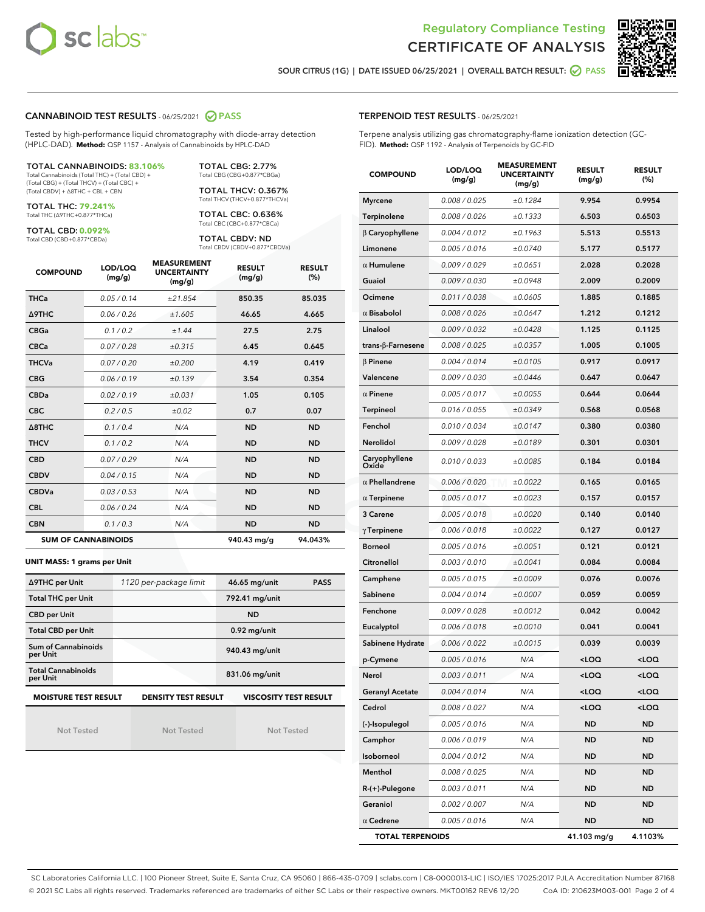



SOUR CITRUS (1G) | DATE ISSUED 06/25/2021 | OVERALL BATCH RESULT: O PASS

#### CANNABINOID TEST RESULTS - 06/25/2021 2 PASS

Tested by high-performance liquid chromatography with diode-array detection (HPLC-DAD). **Method:** QSP 1157 - Analysis of Cannabinoids by HPLC-DAD

TOTAL CANNABINOIDS: **83.106%** Total Cannabinoids (Total THC) + (Total CBD) + (Total CBG) + (Total THCV) + (Total CBC) +

(Total CBDV) + ∆8THC + CBL + CBN TOTAL THC: **79.241%**

Total THC (∆9THC+0.877\*THCa)

TOTAL CBD: **0.092%**

Total CBD (CBD+0.877\*CBDa)

TOTAL CBG: 2.77% Total CBG (CBG+0.877\*CBGa)

TOTAL THCV: 0.367% Total THCV (THCV+0.877\*THCVa)

TOTAL CBC: 0.636% Total CBC (CBC+0.877\*CBCa)

TOTAL CBDV: ND Total CBDV (CBDV+0.877\*CBDVa)

| <b>COMPOUND</b>  | LOD/LOQ<br>(mg/g)          | <b>MEASUREMENT</b><br><b>UNCERTAINTY</b><br>(mg/g) | <b>RESULT</b><br>(mg/g) | <b>RESULT</b><br>(%) |
|------------------|----------------------------|----------------------------------------------------|-------------------------|----------------------|
| <b>THCa</b>      | 0.05/0.14                  | ±21.854                                            | 850.35                  | 85.035               |
| <b>A9THC</b>     | 0.06 / 0.26                | ±1.605                                             | 46.65                   | 4.665                |
| <b>CBGa</b>      | 0.1/0.2                    | ±1.44                                              | 27.5                    | 2.75                 |
| <b>CBCa</b>      | 0.07/0.28                  | ±0.315                                             | 6.45                    | 0.645                |
| <b>THCVa</b>     | 0.07/0.20                  | ±0.200                                             | 4.19                    | 0.419                |
| <b>CBG</b>       | 0.06/0.19                  | ±0.139                                             | 3.54                    | 0.354                |
| <b>CBDa</b>      | 0.02/0.19                  | ±0.031                                             | 1.05                    | 0.105                |
| <b>CBC</b>       | 0.2 / 0.5                  | ±0.02                                              | 0.7                     | 0.07                 |
| $\triangle$ 8THC | 0.1/0.4                    | N/A                                                | <b>ND</b>               | <b>ND</b>            |
| <b>THCV</b>      | 0.1/0.2                    | N/A                                                | <b>ND</b>               | <b>ND</b>            |
| <b>CBD</b>       | 0.07/0.29                  | N/A                                                | <b>ND</b>               | <b>ND</b>            |
| <b>CBDV</b>      | 0.04 / 0.15                | N/A                                                | <b>ND</b>               | <b>ND</b>            |
| <b>CBDVa</b>     | 0.03/0.53                  | N/A                                                | <b>ND</b>               | <b>ND</b>            |
| <b>CBL</b>       | 0.06 / 0.24                | N/A                                                | <b>ND</b>               | <b>ND</b>            |
| <b>CBN</b>       | 0.1/0.3                    | N/A                                                | <b>ND</b>               | <b>ND</b>            |
|                  | <b>SUM OF CANNABINOIDS</b> |                                                    | 940.43 mg/g             | 94.043%              |

#### **UNIT MASS: 1 grams per Unit**

| ∆9THC per Unit                        | 1120 per-package limit     | 46.65 mg/unit<br><b>PASS</b> |
|---------------------------------------|----------------------------|------------------------------|
| <b>Total THC per Unit</b>             |                            | 792.41 mg/unit               |
| <b>CBD per Unit</b>                   |                            | <b>ND</b>                    |
| <b>Total CBD per Unit</b>             |                            | $0.92$ mg/unit               |
| Sum of Cannabinoids<br>per Unit       |                            | 940.43 mg/unit               |
| <b>Total Cannabinoids</b><br>per Unit |                            | 831.06 mg/unit               |
| <b>MOISTURE TEST RESULT</b>           | <b>DENSITY TEST RESULT</b> | <b>VISCOSITY TEST RESULT</b> |

Not Tested

Not Tested

Not Tested

#### TERPENOID TEST RESULTS - 06/25/2021

Terpene analysis utilizing gas chromatography-flame ionization detection (GC-FID). **Method:** QSP 1192 - Analysis of Terpenoids by GC-FID

| <b>COMPOUND</b>           | LOD/LOQ<br>(mg/g) | <b>MEASUREMENT</b><br><b>UNCERTAINTY</b><br>(mg/g) | <b>RESULT</b><br>(mg/g)                         | <b>RESULT</b><br>(%) |
|---------------------------|-------------------|----------------------------------------------------|-------------------------------------------------|----------------------|
| <b>Myrcene</b>            | 0.008 / 0.025     | ±0.1284                                            | 9.954                                           | 0.9954               |
| Terpinolene               | 0.008 / 0.026     | ±0.1333                                            | 6.503                                           | 0.6503               |
| $\beta$ Caryophyllene     | 0.004 / 0.012     | ±0.1963                                            | 5.513                                           | 0.5513               |
| Limonene                  | 0.005 / 0.016     | ±0.0740                                            | 5.177                                           | 0.5177               |
| $\alpha$ Humulene         | 0.009/0.029       | ±0.0651                                            | 2.028                                           | 0.2028               |
| Guaiol                    | 0.009 / 0.030     | ±0.0948                                            | 2.009                                           | 0.2009               |
| Ocimene                   | 0.011 / 0.038     | ±0.0605                                            | 1.885                                           | 0.1885               |
| $\alpha$ Bisabolol        | 0.008 / 0.026     | ±0.0647                                            | 1.212                                           | 0.1212               |
| Linalool                  | 0.009 / 0.032     | ±0.0428                                            | 1.125                                           | 0.1125               |
| trans- $\beta$ -Farnesene | 0.008 / 0.025     | ±0.0357                                            | 1.005                                           | 0.1005               |
| $\beta$ Pinene            | 0.004 / 0.014     | ±0.0105                                            | 0.917                                           | 0.0917               |
| Valencene                 | 0.009 / 0.030     | ±0.0446                                            | 0.647                                           | 0.0647               |
| $\alpha$ Pinene           | 0.005 / 0.017     | ±0.0055                                            | 0.644                                           | 0.0644               |
| Terpineol                 | 0.016 / 0.055     | ±0.0349                                            | 0.568                                           | 0.0568               |
| Fenchol                   | 0.010 / 0.034     | ±0.0147                                            | 0.380                                           | 0.0380               |
| Nerolidol                 | 0.009 / 0.028     | ±0.0189                                            | 0.301                                           | 0.0301               |
| Caryophyllene<br>Oxide    | 0.010 / 0.033     | ±0.0085                                            | 0.184                                           | 0.0184               |
| $\alpha$ Phellandrene     | 0.006 / 0.020     | ±0.0022                                            | 0.165                                           | 0.0165               |
| $\alpha$ Terpinene        | 0.005 / 0.017     | ±0.0023                                            | 0.157                                           | 0.0157               |
| 3 Carene                  | 0.005 / 0.018     | ±0.0020                                            | 0.140                                           | 0.0140               |
| $\gamma$ Terpinene        | 0.006 / 0.018     | ±0.0022                                            | 0.127                                           | 0.0127               |
| <b>Borneol</b>            | 0.005 / 0.016     | ±0.0051                                            | 0.121                                           | 0.0121               |
| Citronellol               | 0.003 / 0.010     | ±0.0041                                            | 0.084                                           | 0.0084               |
| Camphene                  | 0.005 / 0.015     | ±0.0009                                            | 0.076                                           | 0.0076               |
| Sabinene                  | 0.004 / 0.014     | ±0.0007                                            | 0.059                                           | 0.0059               |
| Fenchone                  | 0.009 / 0.028     | ±0.0012                                            | 0.042                                           | 0.0042               |
| Eucalyptol                | 0.006 / 0.018     | ±0.0010                                            | 0.041                                           | 0.0041               |
| Sabinene Hydrate          | 0.006 / 0.022     | ±0.0015                                            | 0.039                                           | 0.0039               |
| p-Cymene                  | 0.005 / 0.016     | N/A                                                | <loq< th=""><th><loq< th=""></loq<></th></loq<> | <loq< th=""></loq<>  |
| Nerol                     | 0.003 / 0.011     | N/A                                                | < 0                                             | <loq< th=""></loq<>  |
| <b>Geranyl Acetate</b>    | 0.004 / 0.014     | N/A                                                | <loq< th=""><th><loq< th=""></loq<></th></loq<> | <loq< th=""></loq<>  |
| Cedrol                    | 0.008 / 0.027     | N/A                                                | $<$ LOQ                                         | <loq< th=""></loq<>  |
| (-)-Isopulegol            | 0.005 / 0.016     | N/A                                                | <b>ND</b>                                       | ND                   |
| Camphor                   | 0.006 / 0.019     | N/A                                                | <b>ND</b>                                       | ND                   |
| Isoborneol                | 0.004 / 0.012     | N/A                                                | ND                                              | ND                   |
| Menthol                   | 0.008 / 0.025     | N/A                                                | ND                                              | ND                   |
| $R-(+)$ -Pulegone         | 0.003 / 0.011     | N/A                                                | ND                                              | ND                   |
| Geraniol                  | 0.002 / 0.007     | N/A                                                | ND                                              | ND                   |
| $\alpha$ Cedrene          | 0.005 / 0.016     | N/A                                                | ND                                              | ND                   |
| <b>TOTAL TERPENOIDS</b>   |                   |                                                    | 41.103 mg/g                                     | 4.1103%              |

SC Laboratories California LLC. | 100 Pioneer Street, Suite E, Santa Cruz, CA 95060 | 866-435-0709 | sclabs.com | C8-0000013-LIC | ISO/IES 17025:2017 PJLA Accreditation Number 87168 © 2021 SC Labs all rights reserved. Trademarks referenced are trademarks of either SC Labs or their respective owners. MKT00162 REV6 12/20 CoA ID: 210623M003-001 Page 2 of 4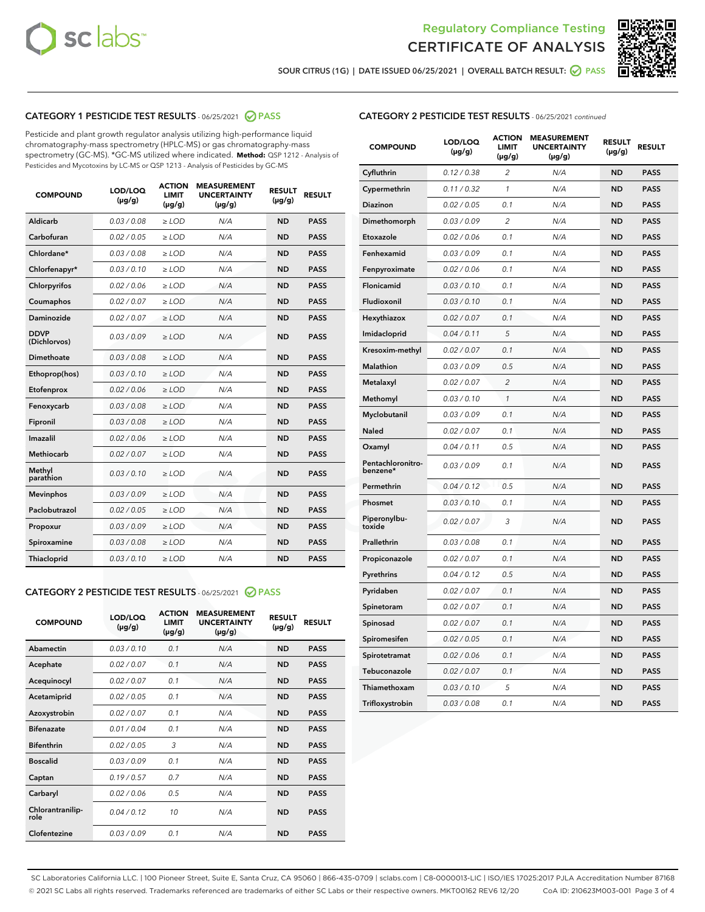



SOUR CITRUS (1G) | DATE ISSUED 06/25/2021 | OVERALL BATCH RESULT: ◯ PASS

## CATEGORY 1 PESTICIDE TEST RESULTS - 06/25/2021 2 PASS

Pesticide and plant growth regulator analysis utilizing high-performance liquid chromatography-mass spectrometry (HPLC-MS) or gas chromatography-mass spectrometry (GC-MS). \*GC-MS utilized where indicated. **Method:** QSP 1212 - Analysis of Pesticides and Mycotoxins by LC-MS or QSP 1213 - Analysis of Pesticides by GC-MS

| <b>COMPOUND</b>             | LOD/LOQ<br>$(\mu g/g)$ | <b>ACTION</b><br><b>LIMIT</b><br>$(\mu g/g)$ | <b>MEASUREMENT</b><br><b>UNCERTAINTY</b><br>$(\mu g/g)$ | <b>RESULT</b><br>$(\mu g/g)$ | <b>RESULT</b> |
|-----------------------------|------------------------|----------------------------------------------|---------------------------------------------------------|------------------------------|---------------|
| Aldicarb                    | 0.03 / 0.08            | $\ge$ LOD                                    | N/A                                                     | <b>ND</b>                    | <b>PASS</b>   |
| Carbofuran                  | 0.02/0.05              | $>$ LOD                                      | N/A                                                     | <b>ND</b>                    | <b>PASS</b>   |
| Chlordane*                  | 0.03 / 0.08            | $\geq$ LOD                                   | N/A                                                     | <b>ND</b>                    | <b>PASS</b>   |
| Chlorfenapyr*               | 0.03/0.10              | $\ge$ LOD                                    | N/A                                                     | <b>ND</b>                    | <b>PASS</b>   |
| Chlorpyrifos                | 0.02 / 0.06            | $\ge$ LOD                                    | N/A                                                     | <b>ND</b>                    | <b>PASS</b>   |
| Coumaphos                   | 0.02 / 0.07            | $\ge$ LOD                                    | N/A                                                     | <b>ND</b>                    | <b>PASS</b>   |
| Daminozide                  | 0.02 / 0.07            | $\ge$ LOD                                    | N/A                                                     | <b>ND</b>                    | <b>PASS</b>   |
| <b>DDVP</b><br>(Dichlorvos) | 0.03/0.09              | $\ge$ LOD                                    | N/A                                                     | <b>ND</b>                    | <b>PASS</b>   |
| <b>Dimethoate</b>           | 0.03/0.08              | $\ge$ LOD                                    | N/A                                                     | <b>ND</b>                    | <b>PASS</b>   |
| Ethoprop(hos)               | 0.03/0.10              | $>$ LOD                                      | N/A                                                     | <b>ND</b>                    | <b>PASS</b>   |
| Etofenprox                  | 0.02 / 0.06            | $\ge$ LOD                                    | N/A                                                     | <b>ND</b>                    | <b>PASS</b>   |
| Fenoxycarb                  | 0.03/0.08              | $>$ LOD                                      | N/A                                                     | <b>ND</b>                    | <b>PASS</b>   |
| Fipronil                    | 0.03 / 0.08            | $\ge$ LOD                                    | N/A                                                     | <b>ND</b>                    | <b>PASS</b>   |
| Imazalil                    | 0.02 / 0.06            | $\ge$ LOD                                    | N/A                                                     | <b>ND</b>                    | <b>PASS</b>   |
| Methiocarb                  | 0.02 / 0.07            | $\ge$ LOD                                    | N/A                                                     | <b>ND</b>                    | <b>PASS</b>   |
| Methyl<br>parathion         | 0.03/0.10              | $>$ LOD                                      | N/A                                                     | <b>ND</b>                    | <b>PASS</b>   |
| <b>Mevinphos</b>            | 0.03/0.09              | $>$ LOD                                      | N/A                                                     | <b>ND</b>                    | <b>PASS</b>   |
| Paclobutrazol               | 0.02 / 0.05            | $\ge$ LOD                                    | N/A                                                     | <b>ND</b>                    | <b>PASS</b>   |
| Propoxur                    | 0.03/0.09              | $>$ LOD                                      | N/A                                                     | <b>ND</b>                    | <b>PASS</b>   |
| Spiroxamine                 | 0.03 / 0.08            | $\ge$ LOD                                    | N/A                                                     | <b>ND</b>                    | <b>PASS</b>   |
| Thiacloprid                 | 0.03/0.10              | $\ge$ LOD                                    | N/A                                                     | <b>ND</b>                    | <b>PASS</b>   |
|                             |                        |                                              |                                                         |                              |               |

## CATEGORY 2 PESTICIDE TEST RESULTS - 06/25/2021 @ PASS

| <b>COMPOUND</b>          | LOD/LOO<br>$(\mu g/g)$ | <b>ACTION</b><br>LIMIT<br>$(\mu g/g)$ | <b>MEASUREMENT</b><br><b>UNCERTAINTY</b><br>$(\mu g/g)$ | <b>RESULT</b><br>$(\mu g/g)$ | <b>RESULT</b> |  |
|--------------------------|------------------------|---------------------------------------|---------------------------------------------------------|------------------------------|---------------|--|
| Abamectin                | 0.03/0.10              | 0.1                                   | N/A                                                     | <b>ND</b>                    | <b>PASS</b>   |  |
| Acephate                 | 0.02/0.07              | 0.1                                   | N/A                                                     | <b>ND</b>                    | <b>PASS</b>   |  |
| Acequinocyl              | 0.02/0.07              | 0.1                                   | N/A                                                     | <b>ND</b>                    | <b>PASS</b>   |  |
| Acetamiprid              | 0.02/0.05              | 0.1                                   | N/A                                                     | <b>ND</b>                    | <b>PASS</b>   |  |
| Azoxystrobin             | 0.02/0.07              | 0.1                                   | N/A                                                     | <b>ND</b>                    | <b>PASS</b>   |  |
| <b>Bifenazate</b>        | 0.01/0.04              | 0.1                                   | N/A                                                     | <b>ND</b>                    | <b>PASS</b>   |  |
| <b>Bifenthrin</b>        | 0.02/0.05              | 3                                     | N/A                                                     | <b>ND</b>                    | <b>PASS</b>   |  |
| <b>Boscalid</b>          | 0.03/0.09              | 0.1                                   | N/A                                                     | <b>ND</b>                    | <b>PASS</b>   |  |
| Captan                   | 0.19/0.57              | 0.7                                   | N/A                                                     | <b>ND</b>                    | <b>PASS</b>   |  |
| Carbaryl                 | 0.02/0.06              | 0.5                                   | N/A                                                     | <b>ND</b>                    | <b>PASS</b>   |  |
| Chlorantranilip-<br>role | 0.04/0.12              | 10                                    | N/A                                                     | <b>ND</b>                    | <b>PASS</b>   |  |
| Clofentezine             | 0.03/0.09              | 0.1                                   | N/A                                                     | <b>ND</b>                    | <b>PASS</b>   |  |

| <b>CATEGORY 2 PESTICIDE TEST RESULTS</b> - 06/25/2021 continued |
|-----------------------------------------------------------------|
|-----------------------------------------------------------------|

| <b>COMPOUND</b>               | LOD/LOQ<br>(µg/g) | <b>ACTION</b><br><b>LIMIT</b><br>(µg/g) | <b>MEASUREMENT</b><br><b>UNCERTAINTY</b><br>$(\mu g/g)$ | <b>RESULT</b><br>(µg/g) | <b>RESULT</b> |
|-------------------------------|-------------------|-----------------------------------------|---------------------------------------------------------|-------------------------|---------------|
| Cyfluthrin                    | 0.12 / 0.38       | $\overline{c}$                          | N/A                                                     | <b>ND</b>               | <b>PASS</b>   |
| Cypermethrin                  | 0.11 / 0.32       | 1                                       | N/A                                                     | <b>ND</b>               | <b>PASS</b>   |
| <b>Diazinon</b>               | 0.02 / 0.05       | 0.1                                     | N/A                                                     | <b>ND</b>               | <b>PASS</b>   |
| Dimethomorph                  | 0.03 / 0.09       | 2                                       | N/A                                                     | <b>ND</b>               | <b>PASS</b>   |
| Etoxazole                     | 0.02 / 0.06       | 0.1                                     | N/A                                                     | <b>ND</b>               | <b>PASS</b>   |
| Fenhexamid                    | 0.03 / 0.09       | 0.1                                     | N/A                                                     | <b>ND</b>               | <b>PASS</b>   |
| Fenpyroximate                 | 0.02 / 0.06       | 0.1                                     | N/A                                                     | <b>ND</b>               | <b>PASS</b>   |
| Flonicamid                    | 0.03 / 0.10       | 0.1                                     | N/A                                                     | <b>ND</b>               | <b>PASS</b>   |
| Fludioxonil                   | 0.03 / 0.10       | 0.1                                     | N/A                                                     | <b>ND</b>               | <b>PASS</b>   |
| Hexythiazox                   | 0.02 / 0.07       | 0.1                                     | N/A                                                     | <b>ND</b>               | <b>PASS</b>   |
| Imidacloprid                  | 0.04 / 0.11       | 5                                       | N/A                                                     | <b>ND</b>               | <b>PASS</b>   |
| Kresoxim-methyl               | 0.02 / 0.07       | 0.1                                     | N/A                                                     | <b>ND</b>               | <b>PASS</b>   |
| <b>Malathion</b>              | 0.03 / 0.09       | 0.5                                     | N/A                                                     | <b>ND</b>               | <b>PASS</b>   |
| Metalaxyl                     | 0.02 / 0.07       | $\overline{2}$                          | N/A                                                     | <b>ND</b>               | <b>PASS</b>   |
| Methomyl                      | 0.03 / 0.10       | 1                                       | N/A                                                     | <b>ND</b>               | <b>PASS</b>   |
| Myclobutanil                  | 0.03 / 0.09       | 0.1                                     | N/A                                                     | <b>ND</b>               | <b>PASS</b>   |
| Naled                         | 0.02 / 0.07       | 0.1                                     | N/A                                                     | <b>ND</b>               | <b>PASS</b>   |
| Oxamyl                        | 0.04 / 0.11       | 0.5                                     | N/A                                                     | <b>ND</b>               | <b>PASS</b>   |
| Pentachloronitro-<br>benzene* | 0.03 / 0.09       | 0.1                                     | N/A                                                     | <b>ND</b>               | <b>PASS</b>   |
| Permethrin                    | 0.04 / 0.12       | 0.5                                     | N/A                                                     | <b>ND</b>               | <b>PASS</b>   |
| Phosmet                       | 0.03 / 0.10       | 0.1                                     | N/A                                                     | <b>ND</b>               | <b>PASS</b>   |
| Piperonylbu-<br>toxide        | 0.02 / 0.07       | 3                                       | N/A                                                     | <b>ND</b>               | <b>PASS</b>   |
| Prallethrin                   | 0.03 / 0.08       | 0.1                                     | N/A                                                     | <b>ND</b>               | <b>PASS</b>   |
| Propiconazole                 | 0.02 / 0.07       | 0.1                                     | N/A                                                     | <b>ND</b>               | <b>PASS</b>   |
| Pyrethrins                    | 0.04 / 0.12       | 0.5                                     | N/A                                                     | <b>ND</b>               | <b>PASS</b>   |
| Pyridaben                     | 0.02 / 0.07       | 0.1                                     | N/A                                                     | <b>ND</b>               | <b>PASS</b>   |
| Spinetoram                    | 0.02 / 0.07       | 0.1                                     | N/A                                                     | <b>ND</b>               | <b>PASS</b>   |
| Spinosad                      | 0.02 / 0.07       | 0.1                                     | N/A                                                     | <b>ND</b>               | <b>PASS</b>   |
| Spiromesifen                  | 0.02 / 0.05       | 0.1                                     | N/A                                                     | <b>ND</b>               | <b>PASS</b>   |
| Spirotetramat                 | 0.02 / 0.06       | 0.1                                     | N/A                                                     | <b>ND</b>               | <b>PASS</b>   |
| Tebuconazole                  | 0.02 / 0.07       | 0.1                                     | N/A                                                     | ND                      | <b>PASS</b>   |
| Thiamethoxam                  | 0.03 / 0.10       | 5                                       | N/A                                                     | <b>ND</b>               | <b>PASS</b>   |
| Trifloxystrobin               | 0.03 / 0.08       | 0.1                                     | N/A                                                     | <b>ND</b>               | <b>PASS</b>   |

SC Laboratories California LLC. | 100 Pioneer Street, Suite E, Santa Cruz, CA 95060 | 866-435-0709 | sclabs.com | C8-0000013-LIC | ISO/IES 17025:2017 PJLA Accreditation Number 87168 © 2021 SC Labs all rights reserved. Trademarks referenced are trademarks of either SC Labs or their respective owners. MKT00162 REV6 12/20 CoA ID: 210623M003-001 Page 3 of 4